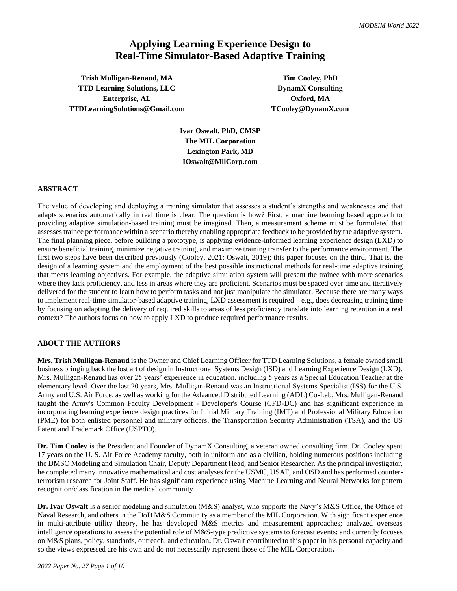# **Applying Learning Experience Design to Real-Time Simulator-Based Adaptive Training**

**Trish Mulligan-Renaud, MA Tim Cooley, PhD TTD Learning Solutions, LLC DynamX** Consulting **Enterprise, AL Oxford, MA TTDLearningSolutions@Gmail.com TCooley@DynamX.com**

**Ivar Oswalt, PhD, CMSP The MIL Corporation Lexington Park, MD IOswalt@MilCorp.com**

#### **ABSTRACT**

The value of developing and deploying a training simulator that assesses a student's strengths and weaknesses and that adapts scenarios automatically in real time is clear. The question is how? First, a machine learning based approach to providing adaptive simulation-based training must be imagined. Then, a measurement scheme must be formulated that assesses trainee performance within a scenario thereby enabling appropriate feedback to be provided by the adaptive system. The final planning piece, before building a prototype, is applying evidence-informed learning experience design (LXD) to ensure beneficial training, minimize negative training, and maximize training transfer to the performance environment. The first two steps have been described previously (Cooley, 2021: Oswalt, 2019); this paper focuses on the third. That is, the design of a learning system and the employment of the best possible instructional methods for real-time adaptive training that meets learning objectives. For example, the adaptive simulation system will present the trainee with more scenarios where they lack proficiency, and less in areas where they are proficient. Scenarios must be spaced over time and iteratively delivered for the student to learn how to perform tasks and not just manipulate the simulator. Because there are many ways to implement real-time simulator-based adaptive training, LXD assessment is required – e.g., does decreasing training time by focusing on adapting the delivery of required skills to areas of less proficiency translate into learning retention in a real context? The authors focus on how to apply LXD to produce required performance results.

#### **ABOUT THE AUTHORS**

**Mrs. Trish Mulligan-Renaud** is the Owner and Chief Learning Officer for TTD Learning Solutions, a female owned small business bringing back the lost art of design in Instructional Systems Design (ISD) and Learning Experience Design (LXD). Mrs. Mulligan-Renaud has over 25 years' experience in education, including 5 years as a Special Education Teacher at the elementary level. Over the last 20 years, Mrs. Mulligan-Renaud was an Instructional Systems Specialist (ISS) for the U.S. Army and U.S. Air Force, as well as working for the Advanced Distributed Learning (ADL) Co-Lab. Mrs. Mulligan-Renaud taught the Army's Common Faculty Development - Developer's Course (CFD-DC) and has significant experience in incorporating learning experience design practices for Initial Military Training (IMT) and Professional Military Education (PME) for both enlisted personnel and military officers, the Transportation Security Administration (TSA), and the US Patent and Trademark Office (USPTO).

**Dr. Tim Cooley** is the President and Founder of DynamX Consulting, a veteran owned consulting firm. Dr. Cooley spent 17 years on the U. S. Air Force Academy faculty, both in uniform and as a civilian, holding numerous positions including the DMSO Modeling and Simulation Chair, Deputy Department Head, and Senior Researcher. As the principal investigator, he completed many innovative mathematical and cost analyses for the USMC, USAF, and OSD and has performed counterterrorism research for Joint Staff. He has significant experience using Machine Learning and Neural Networks for pattern recognition/classification in the medical community.

**Dr. Ivar Oswalt** is a senior modeling and simulation (M&S) analyst, who supports the Navy's M&S Office, the Office of Naval Research, and others in the DoD M&S Community as a member of the MIL Corporation. With significant experience in multi-attribute utility theory, he has developed M&S metrics and measurement approaches; analyzed overseas intelligence operations to assess the potential role of M&S-type predictive systems to forecast events; and currently focuses on M&S plans, policy, standards, outreach, and education**.** Dr. Oswalt contributed to this paper in his personal capacity and so the views expressed are his own and do not necessarily represent those of The MIL Corporation**.**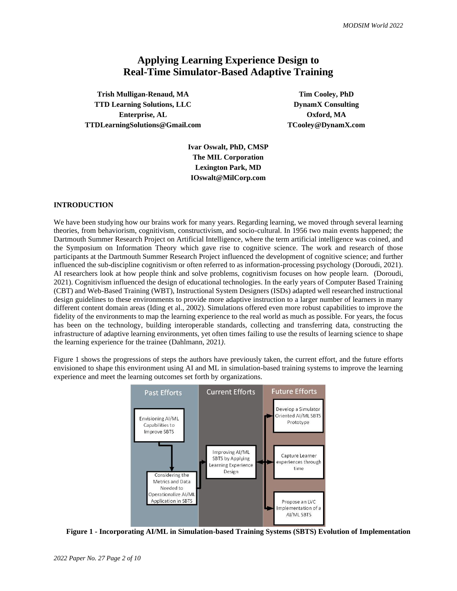# **Applying Learning Experience Design to Real-Time Simulator-Based Adaptive Training**

**Trish Mulligan-Renaud, MA Tim Cooley, PhD TTD Learning Solutions, LLC DynamX** Consulting **Enterprise, AL Oxford, MA TTDLearningSolutions@Gmail.com TCooley@DynamX.com**

**Ivar Oswalt, PhD, CMSP The MIL Corporation Lexington Park, MD IOswalt@MilCorp.com**

# **INTRODUCTION**

We have been studying how our brains work for many years. Regarding learning, we moved through several learning theories, from behaviorism, cognitivism, constructivism, and socio-cultural. In 1956 two main events happened; the Dartmouth Summer Research Project on Artificial Intelligence, where the term artificial intelligence was coined, and the Symposium on Information Theory which gave rise to cognitive science. The work and research of those participants at the Dartmouth Summer Research Project influenced the development of cognitive science; and further influenced the sub-discipline cognitivism or often referred to as information-processing psychology (Doroudi, 2021). AI researchers look at how people think and solve problems, cognitivism focuses on how people learn. (Doroudi, 2021). Cognitivism influenced the design of educational technologies. In the early years of Computer Based Training (CBT) and Web-Based Training (WBT), Instructional System Designers (ISDs) adapted well researched instructional design guidelines to these environments to provide more adaptive instruction to a larger number of learners in many different content domain areas (Iding et al., 2002). Simulations offered even more robust capabilities to improve the fidelity of the environments to map the learning experience to the real world as much as possible. For years, the focus has been on the technology, building interoperable standards, collecting and transferring data, constructing the infrastructure of adaptive learning environments, yet often times failing to use the results of learning science to shape the learning experience for the trainee (Dahlmann, 2021*)*.

Figure 1 shows the progressions of steps the authors have previously taken, the current effort, and the future efforts envisioned to shape this environment using AI and ML in simulation-based training systems to improve the learning experience and meet the learning outcomes set forth by organizations.



**Figure 1 - Incorporating AI/ML in Simulation-based Training Systems (SBTS) Evolution of Implementation**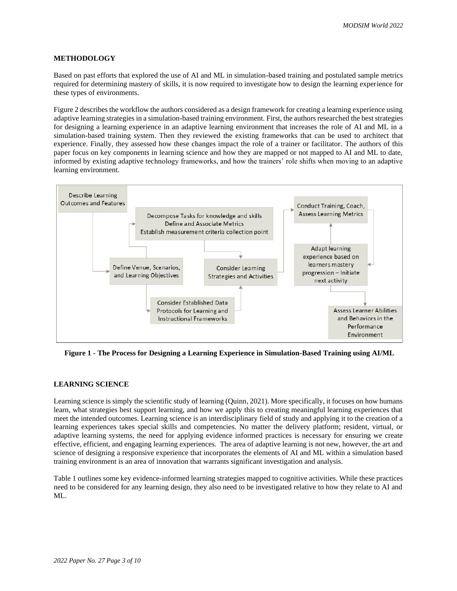# **METHODOLOGY**

Based on past efforts that explored the use of AI and ML in simulation-based training and postulated sample metrics required for determining mastery of skills, it is now required to investigate how to design the learning experience for these types of environments.

Figure 2 describes the workflow the authors considered as a design framework for creating a learning experience using adaptive learning strategies in a simulation-based training environment. First, the authors researched the best strategies for designing a learning experience in an adaptive learning environment that increases the role of AI and ML in a simulation-based training system. Then they reviewed the existing frameworks that can be used to architect that experience. Finally, they assessed how these changes impact the role of a trainer or facilitator. The authors of this paper focus on key components in learning science and how they are mapped or not mapped to AI and ML to date, informed by existing adaptive technology frameworks, and how the trainers' role shifts when moving to an adaptive learning environment.



**Figure 1 - The Process for Designing a Learning Experience in Simulation-Based Training using AI/ML**

#### **LEARNING SCIENCE**

Learning science is simply the scientific study of learning (Quinn, 2021). More specifically, it focuses on how humans learn, what strategies best support learning, and how we apply this to creating meaningful learning experiences that meet the intended outcomes. Learning science is an interdisciplinary field of study and applying it to the creation of a learning experiences takes special skills and competencies. No matter the delivery platform; resident, virtual, or adaptive learning systems, the need for applying evidence informed practices is necessary for ensuring we create effective, efficient, and engaging learning experiences. The area of adaptive learning is not new, however, the art and science of designing a responsive experience that incorporates the elements of AI and ML within a simulation based training environment is an area of innovation that warrants significant investigation and analysis.

Table 1 outlines some key evidence-informed learning strategies mapped to cognitive activities. While these practices need to be considered for any learning design, they also need to be investigated relative to how they relate to AI and ML.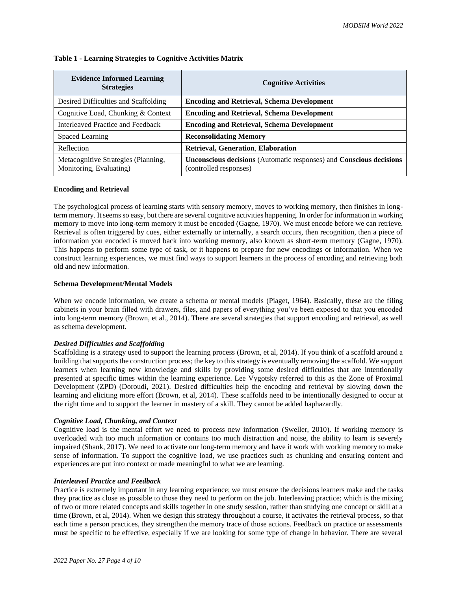| <b>Evidence Informed Learning</b><br><b>Strategies</b>         | <b>Cognitive Activities</b>                                                                   |
|----------------------------------------------------------------|-----------------------------------------------------------------------------------------------|
| Desired Difficulties and Scaffolding                           | <b>Encoding and Retrieval, Schema Development</b>                                             |
| Cognitive Load, Chunking & Context                             | <b>Encoding and Retrieval, Schema Development</b>                                             |
| Interleaved Practice and Feedback                              | <b>Encoding and Retrieval, Schema Development</b>                                             |
| Spaced Learning                                                | <b>Reconsolidating Memory</b>                                                                 |
| Reflection                                                     | <b>Retrieval, Generation, Elaboration</b>                                                     |
| Metacognitive Strategies (Planning,<br>Monitoring, Evaluating) | Unconscious decisions (Automatic responses) and Conscious decisions<br>(controlled responses) |

#### **Table 1 - Learning Strategies to Cognitive Activities Matrix**

#### **Encoding and Retrieval**

The psychological process of learning starts with sensory memory, moves to working memory, then finishes in longterm memory. It seems so easy, but there are several cognitive activities happening. In order for information in working memory to move into long-term memory it must be encoded (Gagne, 1970). We must encode before we can retrieve. Retrieval is often triggered by cues, either externally or internally, a search occurs, then recognition, then a piece of information you encoded is moved back into working memory, also known as short-term memory (Gagne, 1970). This happens to perform some type of task, or it happens to prepare for new encodings or information. When we construct learning experiences, we must find ways to support learners in the process of encoding and retrieving both old and new information.

# **Schema Development/Mental Models**

When we encode information, we create a schema or mental models (Piaget, 1964). Basically, these are the filing cabinets in your brain filled with drawers, files, and papers of everything you've been exposed to that you encoded into long-term memory (Brown, et al., 2014). There are several strategies that support encoding and retrieval, as well as schema development.

#### *Desired Difficulties and Scaffolding*

Scaffolding is a strategy used to support the learning process (Brown, et al, 2014). If you think of a scaffold around a building that supports the construction process; the key to this strategy is eventually removing the scaffold. We support learners when learning new knowledge and skills by providing some desired difficulties that are intentionally presented at specific times within the learning experience. Lee Vygotsky referred to this as the Zone of Proximal Development (ZPD) (Doroudi, 2021). Desired difficulties help the encoding and retrieval by slowing down the learning and eliciting more effort (Brown, et al, 2014). These scaffolds need to be intentionally designed to occur at the right time and to support the learner in mastery of a skill. They cannot be added haphazardly.

#### *Cognitive Load, Chunking, and Context*

Cognitive load is the mental effort we need to process new information (Sweller, 2010). If working memory is overloaded with too much information or contains too much distraction and noise, the ability to learn is severely impaired (Shank, 2017). We need to activate our long-term memory and have it work with working memory to make sense of information. To support the cognitive load, we use practices such as chunking and ensuring content and experiences are put into context or made meaningful to what we are learning.

#### *Interleaved Practice and Feedback*

Practice is extremely important in any learning experience; we must ensure the decisions learners make and the tasks they practice as close as possible to those they need to perform on the job. Interleaving practice; which is the mixing of two or more related concepts and skills together in one study session, rather than studying one concept or skill at a time (Brown, et al, 2014). When we design this strategy throughout a course, it activates the retrieval process, so that each time a person practices, they strengthen the memory trace of those actions. Feedback on practice or assessments must be specific to be effective, especially if we are looking for some type of change in behavior. There are several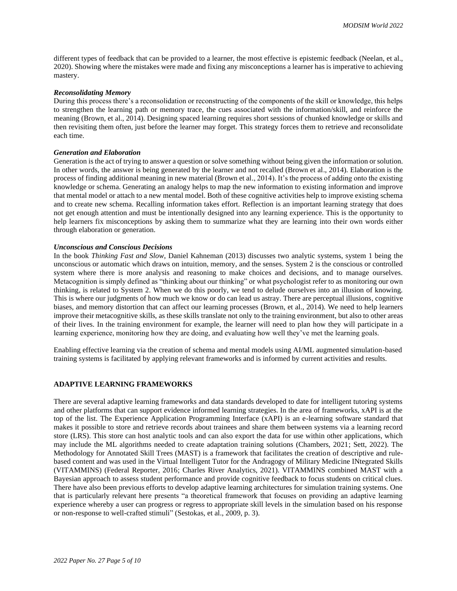different types of feedback that can be provided to a learner, the most effective is epistemic feedback (Neelan, et al., 2020). Showing where the mistakes were made and fixing any misconceptions a learner has is imperative to achieving mastery.

#### *Reconsolidating Memory*

During this process there's a reconsolidation or reconstructing of the components of the skill or knowledge, this helps to strengthen the learning path or memory trace, the cues associated with the information/skill, and reinforce the meaning (Brown, et al., 2014). Designing spaced learning requires short sessions of chunked knowledge or skills and then revisiting them often, just before the learner may forget. This strategy forces them to retrieve and reconsolidate each time.

#### *Generation and Elaboration*

Generation is the act of trying to answer a question or solve something without being given the information or solution. In other words, the answer is being generated by the learner and not recalled (Brown et al., 2014). Elaboration is the process of finding additional meaning in new material (Brown et al., 2014). It's the process of adding onto the existing knowledge or schema. Generating an analogy helps to map the new information to existing information and improve that mental model or attach to a new mental model. Both of these cognitive activities help to improve existing schema and to create new schema. Recalling information takes effort. Reflection is an important learning strategy that does not get enough attention and must be intentionally designed into any learning experience. This is the opportunity to help learners fix misconceptions by asking them to summarize what they are learning into their own words either through elaboration or generation.

#### *Unconscious and Conscious Decisions*

In the book *Thinking Fast and Slow*, Daniel Kahneman (2013) discusses two analytic systems, system 1 being the unconscious or automatic which draws on intuition, memory, and the senses. System 2 is the conscious or controlled system where there is more analysis and reasoning to make choices and decisions, and to manage ourselves. Metacognition is simply defined as "thinking about our thinking" or what psychologist refer to as monitoring our own thinking, is related to System 2. When we do this poorly, we tend to delude ourselves into an illusion of knowing. This is where our judgments of how much we know or do can lead us astray. There are perceptual illusions, cognitive biases, and memory distortion that can affect our learning processes (Brown, et al., 2014). We need to help learners improve their metacognitive skills, as these skills translate not only to the training environment, but also to other areas of their lives. In the training environment for example, the learner will need to plan how they will participate in a learning experience, monitoring how they are doing, and evaluating how well they've met the learning goals.

Enabling effective learning via the creation of schema and mental models using AI/ML augmented simulation-based training systems is facilitated by applying relevant frameworks and is informed by current activities and results.

#### **ADAPTIVE LEARNING FRAMEWORKS**

There are several adaptive learning frameworks and data standards developed to date for intelligent tutoring systems and other platforms that can support evidence informed learning strategies. In the area of frameworks, xAPI is at the top of the list. The Experience Application Programming Interface (xAPI) is an e-learning software standard that makes it possible to store and retrieve records about trainees and share them between systems via a learning record store (LRS). This store can host analytic tools and can also export the data for use within other applications, which may include the ML algorithms needed to create adaptation training solutions (Chambers, 2021; Sett, 2022). The Methodology for Annotated Skill Trees (MAST) is a framework that facilitates the creation of descriptive and rulebased content and was used in the Virtual Intelligent Tutor for the Andragogy of Military Medicine INtegrated Skills (VITAMMINS) (Federal Reporter, 2016; Charles River Analytics, 2021). VITAMMINS combined MAST with a Bayesian approach to assess student performance and provide cognitive feedback to focus students on critical clues. There have also been previous efforts to develop adaptive learning architectures for simulation training systems. One that is particularly relevant here presents "a theoretical framework that focuses on providing an adaptive learning experience whereby a user can progress or regress to appropriate skill levels in the simulation based on his response or non-response to well-crafted stimuli" (Sestokas, et al., 2009, p. 3).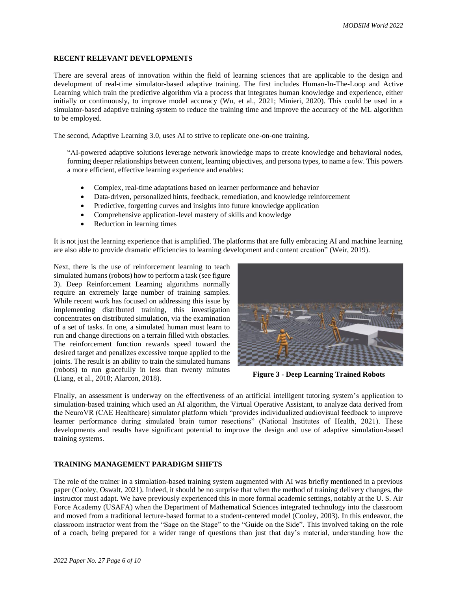# **RECENT RELEVANT DEVELOPMENTS**

There are several areas of innovation within the field of learning sciences that are applicable to the design and development of real-time simulator-based adaptive training. The first includes Human-In-The-Loop and Active Learning which train the predictive algorithm via a process that integrates human knowledge and experience, either initially or continuously, to improve model accuracy (Wu, et al., 2021; Minieri, 2020). This could be used in a simulator-based adaptive training system to reduce the training time and improve the accuracy of the ML algorithm to be employed.

The second, Adaptive Learning 3.0, uses AI to strive to replicate one-on-one training.

"AI-powered adaptive solutions leverage network knowledge maps to create knowledge and behavioral nodes, forming deeper relationships between content, learning objectives, and persona types, to name a few. This powers a more efficient, effective learning experience and enables:

- Complex, real-time adaptations based on learner performance and behavior
- Data-driven, personalized hints, feedback, remediation, and knowledge reinforcement
- Predictive, forgetting curves and insights into future knowledge application
- Comprehensive application-level mastery of skills and knowledge
- Reduction in learning times

It is not just the learning experience that is amplified. The platforms that are fully embracing AI and machine learning are also able to provide dramatic efficiencies to learning development and content creation" (Weir, 2019).

Next, there is the use of reinforcement learning to teach simulated humans (robots) how to perform a task (see figure 3). Deep Reinforcement Learning algorithms normally require an extremely large number of training samples. While recent work has focused on addressing this issue by implementing distributed training, this investigation concentrates on distributed simulation, via the examination of a set of tasks. In one, a simulated human must learn to run and change directions on a terrain filled with obstacles. The reinforcement function rewards speed toward the desired target and penalizes excessive torque applied to the joints. The result is an ability to train the simulated humans (robots) to run gracefully in less than twenty minutes (Liang, et al., 2018; Alarcon, 2018).



**Figure 3 - Deep Learning Trained Robots** 

Finally, an assessment is underway on the effectiveness of an artificial intelligent tutoring system's application to simulation-based training which used an AI algorithm, the Virtual Operative Assistant, to analyze data derived from the NeuroVR (CAE Healthcare) simulator platform which "provides individualized audiovisual feedback to improve learner performance during simulated brain tumor resections" (National Institutes of Health, 2021). These developments and results have significant potential to improve the design and use of adaptive simulation-based training systems.

# **TRAINING MANAGEMENT PARADIGM SHIFTS**

The role of the trainer in a simulation-based training system augmented with AI was briefly mentioned in a previous paper (Cooley, Oswalt, 2021). Indeed, it should be no surprise that when the method of training delivery changes, the instructor must adapt. We have previously experienced this in more formal academic settings, notably at the U. S. Air Force Academy (USAFA) when the Department of Mathematical Sciences integrated technology into the classroom and moved from a traditional lecture-based format to a student-centered model (Cooley, 2003). In this endeavor, the classroom instructor went from the "Sage on the Stage" to the "Guide on the Side". This involved taking on the role of a coach, being prepared for a wider range of questions than just that day's material, understanding how the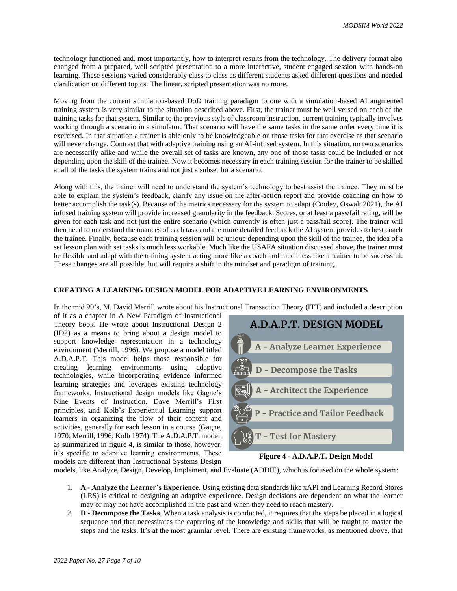technology functioned and, most importantly, how to interpret results from the technology. The delivery format also changed from a prepared, well scripted presentation to a more interactive, student engaged session with hands-on learning. These sessions varied considerably class to class as different students asked different questions and needed clarification on different topics. The linear, scripted presentation was no more.

Moving from the current simulation-based DoD training paradigm to one with a simulation-based AI augmented training system is very similar to the situation described above. First, the trainer must be well versed on each of the training tasks for that system. Similar to the previous style of classroom instruction, current training typically involves working through a scenario in a simulator. That scenario will have the same tasks in the same order every time it is exercised. In that situation a trainer is able only to be knowledgeable on those tasks for that exercise as that scenario will never change. Contrast that with adaptive training using an AI-infused system. In this situation, no two scenarios are necessarily alike and while the overall set of tasks are known, any one of those tasks could be included or not depending upon the skill of the trainee. Now it becomes necessary in each training session for the trainer to be skilled at all of the tasks the system trains and not just a subset for a scenario.

Along with this, the trainer will need to understand the system's technology to best assist the trainee. They must be able to explain the system's feedback, clarify any issue on the after-action report and provide coaching on how to better accomplish the task(s). Because of the metrics necessary for the system to adapt (Cooley, Oswalt 2021), the AI infused training system will provide increased granularity in the feedback. Scores, or at least a pass/fail rating, will be given for each task and not just the entire scenario (which currently is often just a pass/fail score). The trainer will then need to understand the nuances of each task and the more detailed feedback the AI system provides to best coach the trainee. Finally, because each training session will be unique depending upon the skill of the trainee, the idea of a set lesson plan with set tasks is much less workable. Much like the USAFA situation discussed above, the trainer must be flexible and adapt with the training system acting more like a coach and much less like a trainer to be successful. These changes are all possible, but will require a shift in the mindset and paradigm of training.

#### **CREATING A LEARNING DESIGN MODEL FOR ADAPTIVE LEARNING ENVIRONMENTS**

In the mid 90's, M. David Merrill wrote about his Instructional Transaction Theory (ITT) and included a description

of it as a chapter in A New Paradigm of Instructional Theory book. He wrote about Instructional Design 2 (ID2) as a means to bring about a design model to support knowledge representation in a technology environment (Merrill, 1996). We propose a model titled A.D.A.P.T. This model helps those responsible for creating learning environments using adaptive technologies, while incorporating evidence informed learning strategies and leverages existing technology frameworks. Instructional design models like Gagne's Nine Events of Instruction, Dave Merrill's First principles, and Kolb's Experiential Learning support learners in organizing the flow of their content and activities, generally for each lesson in a course (Gagne, 1970; Merrill, 1996; Kolb 1974). The A.D.A.P.T. model, as summarized in figure 4, is similar to those, however, it's specific to adaptive learning environments. These models are different than Instructional Systems Design





models, like Analyze, Design, Develop, Implement, and Evaluate (ADDIE), which is focused on the whole system:

- 1. **A - Analyze the Learner's Experience**. Using existing data standards like xAPI and Learning Record Stores (LRS) is critical to designing an adaptive experience. Design decisions are dependent on what the learner may or may not have accomplished in the past and when they need to reach mastery.
- 2. **D - Decompose the Tasks**. When a task analysis is conducted, it requires that the steps be placed in a logical sequence and that necessitates the capturing of the knowledge and skills that will be taught to master the steps and the tasks. It's at the most granular level. There are existing frameworks, as mentioned above, that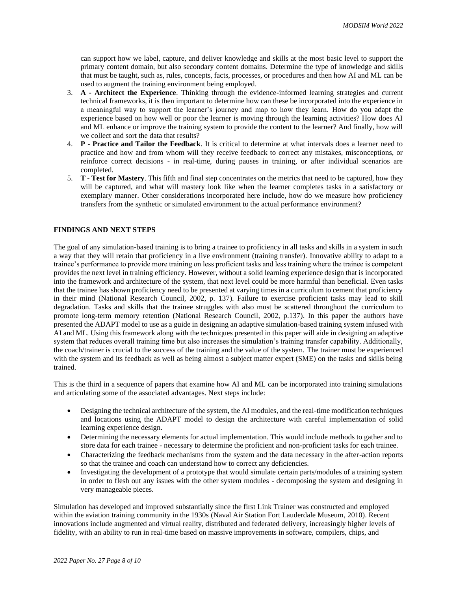can support how we label, capture, and deliver knowledge and skills at the most basic level to support the primary content domain, but also secondary content domains. Determine the type of knowledge and skills that must be taught, such as, rules, concepts, facts, processes, or procedures and then how AI and ML can be used to augment the training environment being employed.

- 3. **A - Architect the Experience**. Thinking through the evidence-informed learning strategies and current technical frameworks, it is then important to determine how can these be incorporated into the experience in a meaningful way to support the learner's journey and map to how they learn. How do you adapt the experience based on how well or poor the learner is moving through the learning activities? How does AI and ML enhance or improve the training system to provide the content to the learner? And finally, how will we collect and sort the data that results?
- 4. **P - Practice and Tailor the Feedback**. It is critical to determine at what intervals does a learner need to practice and how and from whom will they receive feedback to correct any mistakes, misconceptions, or reinforce correct decisions - in real-time, during pauses in training, or after individual scenarios are completed.
- 5. **T - Test for Mastery**. This fifth and final step concentrates on the metrics that need to be captured, how they will be captured, and what will mastery look like when the learner completes tasks in a satisfactory or exemplary manner. Other considerations incorporated here include, how do we measure how proficiency transfers from the synthetic or simulated environment to the actual performance environment?

# **FINDINGS AND NEXT STEPS**

The goal of any simulation-based training is to bring a trainee to proficiency in all tasks and skills in a system in such a way that they will retain that proficiency in a live environment (training transfer). Innovative ability to adapt to a trainee's performance to provide more training on less proficient tasks and less training where the trainee is competent provides the next level in training efficiency. However, without a solid learning experience design that is incorporated into the framework and architecture of the system, that next level could be more harmful than beneficial. Even tasks that the trainee has shown proficiency need to be presented at varying times in a curriculum to cement that proficiency in their mind (National Research Council, 2002, p. 137). Failure to exercise proficient tasks may lead to skill degradation. Tasks and skills that the trainee struggles with also must be scattered throughout the curriculum to promote long-term memory retention (National Research Council, 2002, p.137). In this paper the authors have presented the ADAPT model to use as a guide in designing an adaptive simulation-based training system infused with AI and ML. Using this framework along with the techniques presented in this paper will aide in designing an adaptive system that reduces overall training time but also increases the simulation's training transfer capability. Additionally, the coach/trainer is crucial to the success of the training and the value of the system. The trainer must be experienced with the system and its feedback as well as being almost a subject matter expert (SME) on the tasks and skills being trained.

This is the third in a sequence of papers that examine how AI and ML can be incorporated into training simulations and articulating some of the associated advantages. Next steps include:

- Designing the technical architecture of the system, the AI modules, and the real-time modification techniques and locations using the ADAPT model to design the architecture with careful implementation of solid learning experience design.
- Determining the necessary elements for actual implementation. This would include methods to gather and to store data for each trainee - necessary to determine the proficient and non-proficient tasks for each trainee.
- Characterizing the feedback mechanisms from the system and the data necessary in the after-action reports so that the trainee and coach can understand how to correct any deficiencies.
- Investigating the development of a prototype that would simulate certain parts/modules of a training system in order to flesh out any issues with the other system modules - decomposing the system and designing in very manageable pieces.

Simulation has developed and improved substantially since the first Link Trainer was constructed and employed within the aviation training community in the 1930s (Naval Air Station Fort Lauderdale Museum, 2010). Recent innovations include augmented and virtual reality, distributed and federated delivery, increasingly higher levels of fidelity, with an ability to run in real-time based on massive improvements in software, compilers, chips, and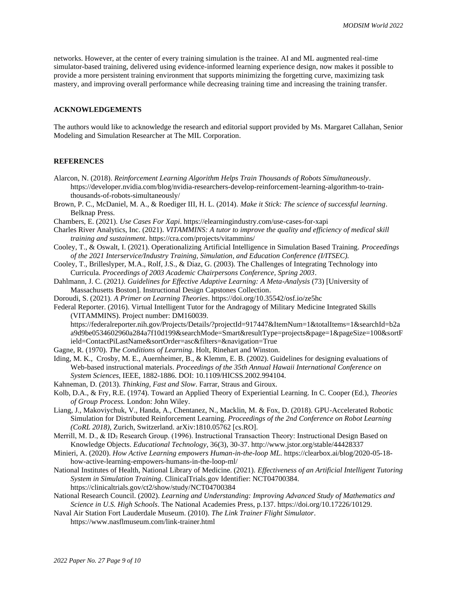networks. However, at the center of every training simulation is the trainee. AI and ML augmented real-time simulator-based training, delivered using evidence-informed learning experience design, now makes it possible to provide a more persistent training environment that supports minimizing the forgetting curve, maximizing task mastery, and improving overall performance while decreasing training time and increasing the training transfer.

### **ACKNOWLEDGEMENTS**

The authors would like to acknowledge the research and editorial support provided by Ms. Margaret Callahan, Senior Modeling and Simulation Researcher at The MIL Corporation.

#### **REFERENCES**

- Alarcon, N. (2018). *Reinforcement Learning Algorithm Helps Train Thousands of Robots Simultaneously*. https://developer.nvidia.com/blog/nvidia-researchers-develop-reinforcement-learning-algorithm-to-trainthousands-of-robots-simultaneously/
- Brown, P. C., McDaniel, M. A., & Roediger III, H. L. (2014). *Make it Stick: The science of successful learning*. Belknap Press.
- Chambers, E. (2021). *Use Cases For Xapi*. https://elearningindustry.com/use-cases-for-xapi
- Charles River Analytics, Inc. (2021). *VITAMMINS: A tutor to improve the quality and efficiency of medical skill training and sustainment*. https://cra.com/projects/vitammins/
- Cooley, T., & Oswalt, I. (2021). Operationalizing Artificial Intelligence in Simulation Based Training. *Proceedings of the 2021 Interservice/Industry Training, Simulation, and Education Conference (I/ITSEC).*
- Cooley, T., Brilleslyper, M.A., Rolf, J.S., & Diaz, G. (2003). The Challenges of Integrating Technology into Curricula. *Proceedings of 2003 Academic Chairpersons Conference, Spring 2003*.
- Dahlmann, J. C. (2021*). Guidelines for Effective Adaptive Learning: A Meta-Analysis* (73) [University of Massachusetts Boston]. Instructional Design Capstones Collection.
- Doroudi, S. (2021). *A Primer on Learning Theories*. https://doi.org/10.35542/osf.io/ze5hc

Federal Reporter. (2016). Virtual Intelligent Tutor for the Andragogy of Military Medicine Integrated Skills (VITAMMINS). Project number: DM160039.

https://federalreporter.nih.gov/Projects/Details/?projectId=917447&ItemNum=1&totalItems=1&searchId=b2a a9d9be0534602960a284a7f10d199&searchMode=Smart&resultType=projects&page=1&pageSize=100&sortF ield=ContactPiLastName&sortOrder=asc&filters=&navigation=True

- Gagne, R. (1970). *The Conditions of Learning*. Holt, Rinehart and Winston.
- Iding, M. K., Crosby, M. E., Auernheimer, B., & Klemm, E. B. (2002). Guidelines for designing evaluations of Web-based instructional materials. *Proceedings of the 35th Annual Hawaii International Conference on System Sciences*, IEEE, 1882-1886. DOI: 10.1109/HICSS.2002.994104.
- Kahneman, D. (2013). *Thinking, Fast and Slow*. Farrar, Straus and Giroux.
- Kolb, D.A., & Fry, R.E. (1974). Toward an Applied Theory of Experiential Learning. In C. Cooper (Ed.), *Theories of Group Process.* London: John Wiley.
- Liang, J., Makoviychuk, V., Handa, A., Chentanez, N., Macklin, M. & Fox, D. (2018). GPU-Accelerated Robotic Simulation for Distributed Reinforcement Learning. *Proceedings of the 2nd Conference on Robot Learning (CoRL 2018)*, Zurich, Switzerland. arXiv:1810.05762 [cs.RO].
- Merrill, M. D., & ID<sub>2</sub> Research Group. (1996). Instructional Transaction Theory: Instructional Design Based on Knowledge Objects. *Educational Technology*, 36(3), 30-37. http://www.jstor.org/stable/44428337
- Minieri, A. (2020). *How Active Learning empowers Human-in-the-loop ML*. https://clearbox.ai/blog/2020-05-18 how-active-learning-empowers-humans-in-the-loop-ml/

National Institutes of Health, National Library of Medicine. (2021). *Effectiveness of an Artificial Intelligent Tutoring System in Simulation Training*. ClinicalTrials.gov Identifier: NCT04700384. https://clinicaltrials.gov/ct2/show/study/NCT04700384

- National Research Council. (2002). *Learning and Understanding: Improving Advanced Study of Mathematics and Science in U.S. High Schools*. The National Academies Press, p.137. https://doi.org/10.17226/10129.
- Naval Air Station Fort Lauderdale Museum. (2010). *The Link Trainer Flight Simulator*. https://www.nasflmuseum.com/link-trainer.html